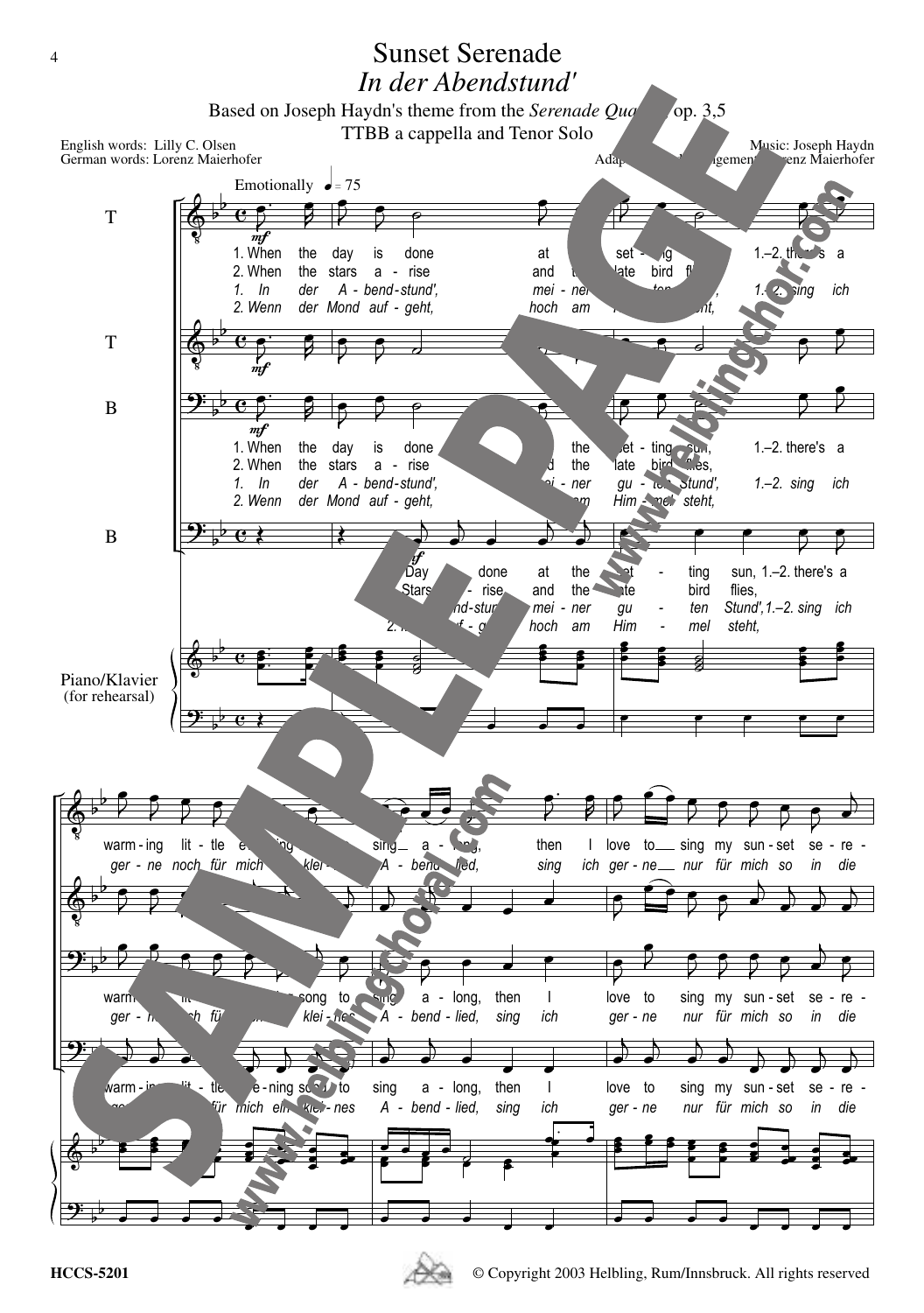

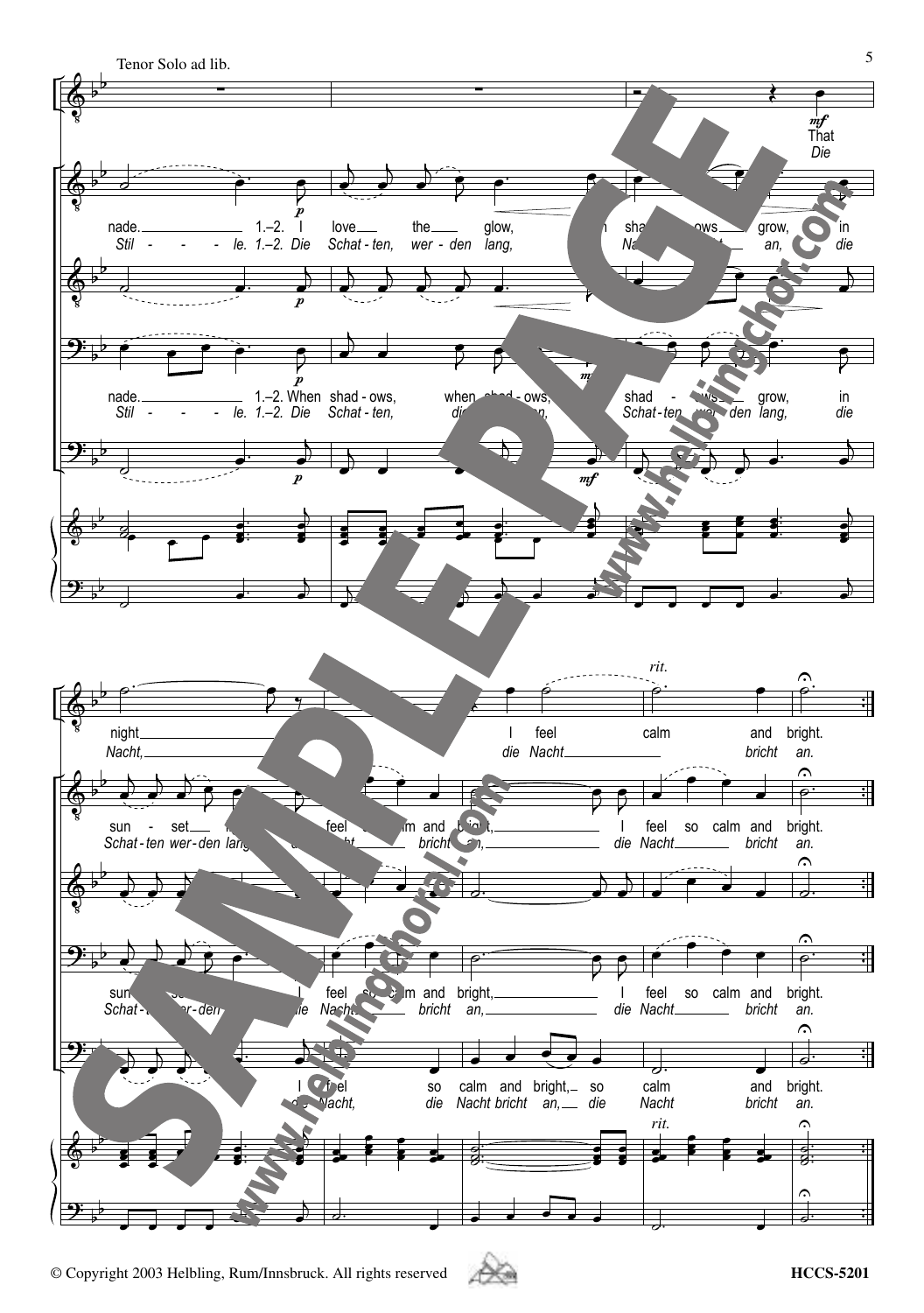

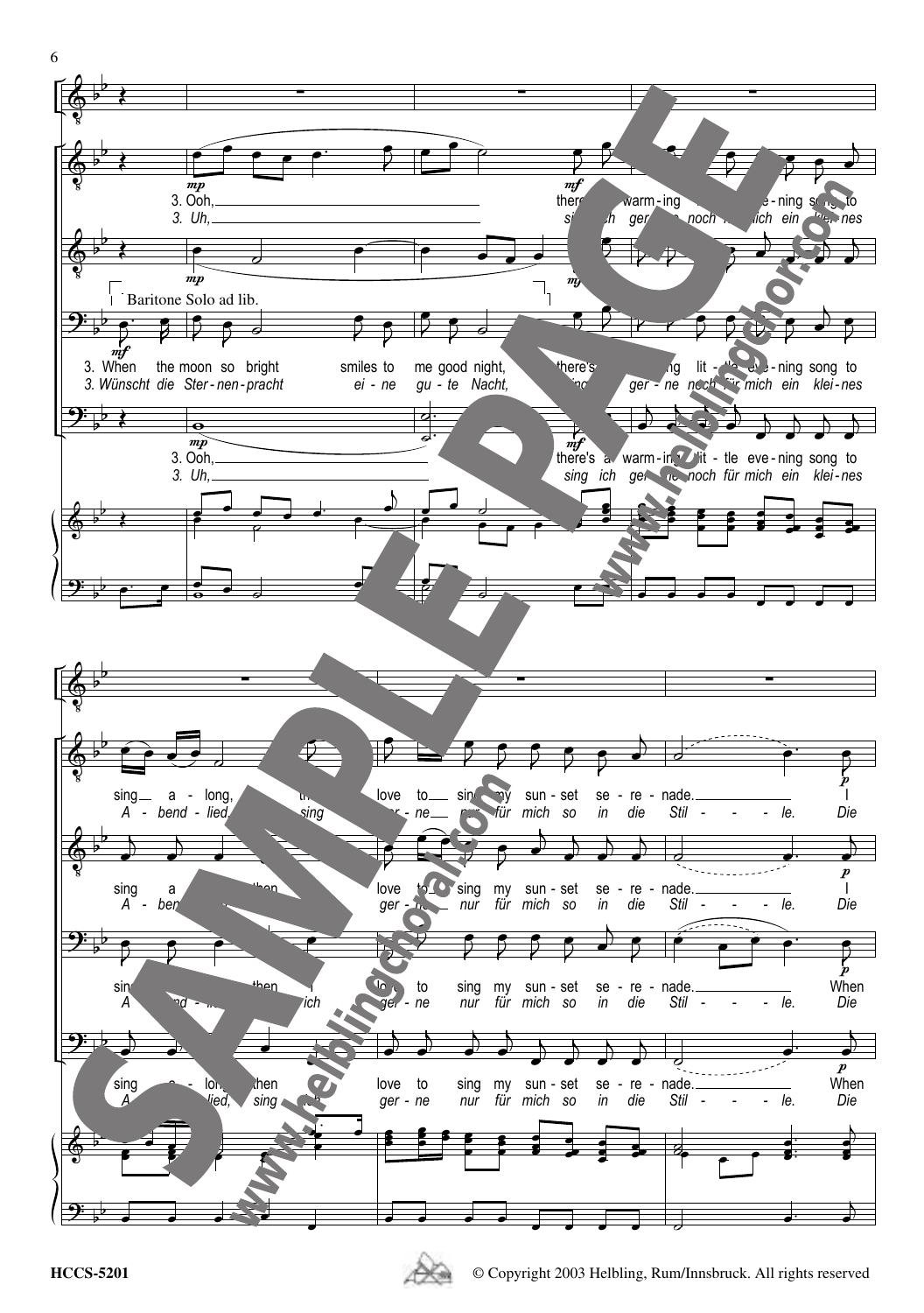